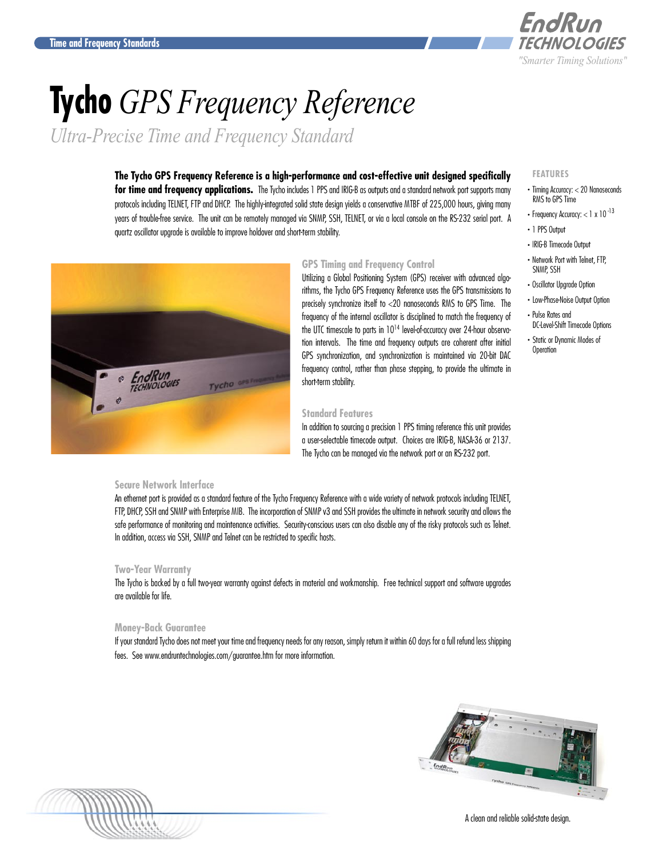

# **Tycho** *GPS Frequency Reference*

*Ultra-Precise Time and Frequency Standard*

# **The Tycho GPS Frequency Reference is a high-performance and cost-effective unit designed specifically**

**for time and frequency applications.** The Tycho includes 1 PPS and IRIG-B as outputs and a standard network port supports many protocols including TELNET, FTP and DHCP. The highly-integrated solid state design yields a conservative MTBF of 225,000 hours, giving many years of trouble-free service. The unit can be remotely managed via SNMP, SSH, TELNET, or via a local console on the RS-232 serial port. A quartz oscillator upgrade is available to improve holdover and short-term stability.



# **GPS Timing and Frequency Control**

Utilizing a Global Positioning System (GPS) receiver with advanced algorithms, the Tycho GPS Frequency Reference uses the GPS transmissions to precisely synchronize itself to <20 nanoseconds RMS to GPS Time. The frequency of the internal oscillator is disciplined to match the frequency of the UTC timescale to parts in 1014 level-of-accuracy over 24-hour observation intervals. The time and frequency outputs are coherent after initial GPS synchronization, and synchronization is maintained via 20-bit DAC frequency control, rather than phase stepping, to provide the ultimate in short-term stability.

### **Standard Features**

In addition to sourcing a precision 1 PPS timing reference this unit provides a user-selectable timecode output. Choices are IRIG-B, NASA-36 or 2137. The Tycho can be managed via the network port or an RS-232 port.

# **Secure Network Interface**

An ethernet port is provided as a standard feature of the Tycho Frequency Reference with a wide variety of network protocols including TELNET, FTP, DHCP, SSH and SNMP with Enterprise MIB. The incorporation of SNMP v3 and SSH provides the ultimate in network security and allows the safe performance of monitoring and maintenance activities. Security-conscious users can also disable any of the risky protocols such as Telnet. In addition, access via SSH, SNMP and Telnet can be restricted to specific hosts.

#### **Two-Year Warranty**

The Tycho is backed by a full two-year warranty against defects in material and workmanship. Free technical support and software upgrades are available for life.

#### **Money-Back Guarantee**

If your standard Tycho does not meet your time and frequency needs for any reason, simply return it within 60 days for a full refund less shipping fees. See <www.endruntechnologies.com/guarantee.htm>for more information.





**FEATURES**

- . Timing Accuracy: < 20 Nanoseconds RMS to GPS Time
- Frequency Accuracy:  $<$  1 x 10 $^{-13}$
- . 1 PPS Output
- . IRIG-B Timecode Output
- . Network Port with Telnet, FTP, SNMP, SSH
- . Oscillator Upgrade Option
- . Low-Phase-Noise Output Option
- . Pulse Rates and DC-Level-Shift Timecode Options
- . Static or Dynamic Modes of **Operation**

A clean and reliable solid-state design.